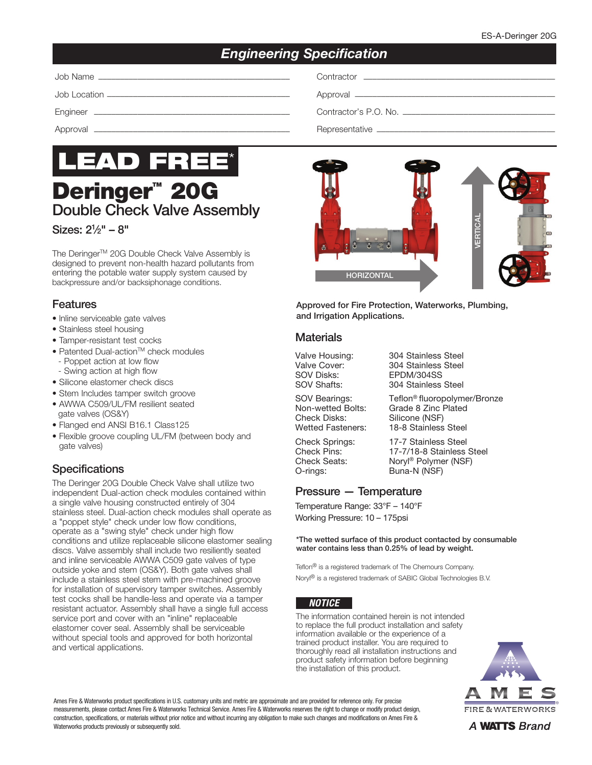# *Engineering Specification*

Job Name –––––––––––––––––––––––––––––––––––––––––––– Contractor ––––––––––––––––––––––––––––––––––––––––––––

Job Location –––––––––––––––––––––––––––––––––––––––––– Approval ––––––––––––––––––––––––––––––––––––––––––––––

Engineer ––––––––––––––––––––––––––––––––––––––––––––– Contractor's P.O. No. –––––––––––––––––––––––––––––––––––

Approval ––––––––––––––––––––––––––––––––––––––––––––– Representative –––––––––––––––––––––––––––––––––––––––––



**Deringer<sup>™</sup> 20G** Double Check Valve Assembly

Sizes: 21 ⁄2" – 8"

The Deringer<sup>™</sup> 20G Double Check Valve Assembly is designed to prevent non-health hazard pollutants from entering the potable water supply system caused by backpressure and/or backsiphonage conditions.

## **Features**

- lnline serviceable gate valves
- Stainless steel housing
- Tamper-resistant test cocks
- Patented Dual-action<sup>™</sup> check modules
- Poppet action at low flow
- Swing action at high flow
- Silicone elastomer check discs
- Stem Includes tamper switch groove
- AWWA C509/UL/FM resilient seated gate valves (OS&Y)
- Flanged end ANSI B16.1 Class125
- Flexible groove coupling UL/FM (between body and gate valves)

# **Specifications**

The Deringer 20G Double Check Valve shall utilize two independent Dual-action check modules contained within a single valve housing constructed entirely of 304 stainless steel. Dual-action check modules shall operate as a "poppet style" check under low flow conditions, operate as a "swing style" check under high flow conditions and utilize replaceable silicone elastomer sealing discs. Valve assembly shall include two resiliently seated and inline serviceable AWWA C509 gate valves of type outside yoke and stem (OS&Y). Both gate valves shall include a stainless steel stem with pre-machined groove for installation of supervisory tamper switches. Assembly test cocks shall be handle-less and operate via a tamper resistant actuator. Assembly shall have a single full access service port and cover with an "inline" replaceable elastomer cover seal. Assembly shall be serviceable without special tools and approved for both horizontal and vertical applications.



Approved for Fire Protection, Waterworks, Plumbing, and Irrigation Applications.

#### **Materials**

Valve Housing: 304 Stainless Steel<br>Valve Cover: 304 Stainless Steel SOV Disks: EPDM/304SS SOV Shafts: 304 Stainless Steel

SOV Bearings: Teflon® fluoropolymer/Bronze<br>Non-wetted Bolts: Grade 8 Zinc Plated Non-wetted Bolts: Grade 8 Zinc Plated<br>Check Disks: Silicone (NSF) Silicone (NSF) Wetted Fasteners: 18-8 Stainless Steel

304 Stainless Steel

O-rings: Buna-N (NSF)

Check Springs: 17-7 Stainless Steel<br>Check Pins: 17-7/18-8 Stainless 17-7/18-8 Stainless Steel Check Seats: Noryl® Polymer (NSF)

#### Pressure — Temperature

Temperature Range: 33°F – 140°F Working Pressure: 10 – 175psi

\*The wetted surface of this product contacted by consumable water contains less than 0.25% of lead by weight.

Teflon<sup>®</sup> is a registered trademark of The Chemours Company. Noryl® is a registered trademark of SABIC Global Technologies B.V.

#### *NOTICE*

The information contained herein is not intended to replace the full product installation and safety information available or the experience of a trained product installer. You are required to thoroughly read all installation instructions and product safety information before beginning the installation of this product.



Ames Fire & Waterworks product specifications in U.S. customary units and metric are approximate and are provided for reference only. For precise measurements, please contact Ames Fire & Waterworks Technical Service. Ames Fire & Waterworks reserves the right to change or modify product design, construction, specifications, or materials without prior notice and without incurring any obligation to make such changes and modifications on Ames Fire & Waterworks products previously or subsequently sold.

A **WATTS** Brand